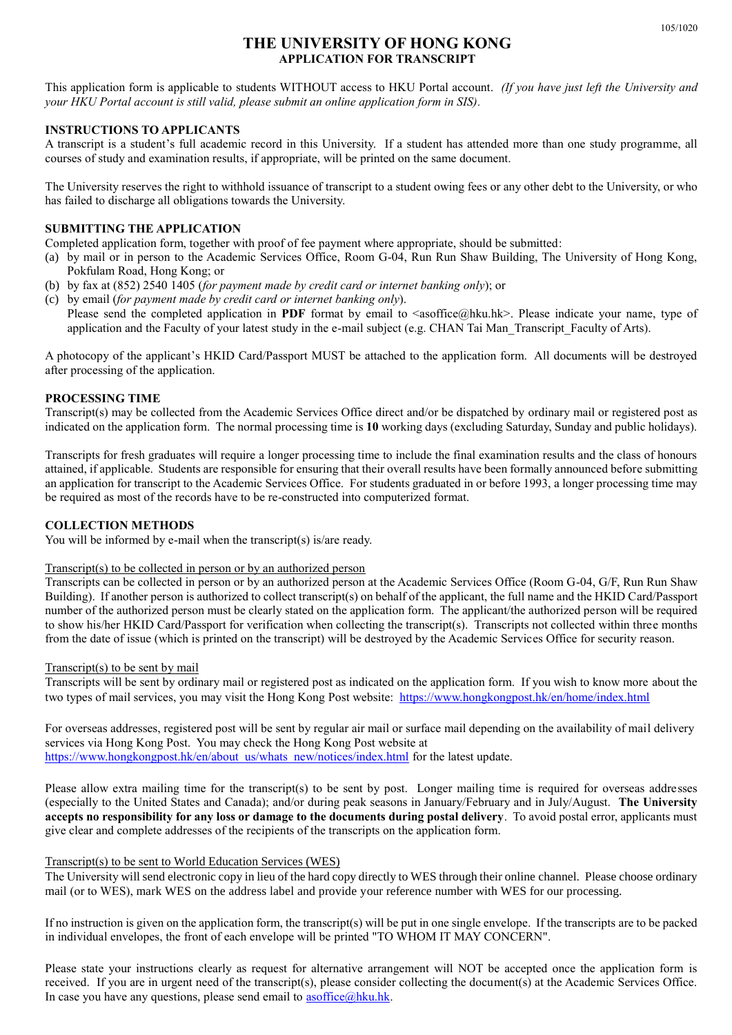## **THE UNIVERSITY OF HONG KONG APPLICATION FOR TRANSCRIPT**

This application form is applicable to students WITHOUT access to HKU Portal account. *(If you have just left the University and your HKU Portal account is still valid, please submit an online application form in SIS).*

#### **INSTRUCTIONS TO APPLICANTS**

A transcript is a student's full academic record in this University. If a student has attended more than one study programme, all courses of study and examination results, if appropriate, will be printed on the same document.

The University reserves the right to withhold issuance of transcript to a student owing fees or any other debt to the University, or who has failed to discharge all obligations towards the University.

## **SUBMITTING THE APPLICATION**

Completed application form, together with proof of fee payment where appropriate, should be submitted:

- (a) by mail or in person to the Academic Services Office, Room G-04, Run Run Shaw Building, The University of Hong Kong, Pokfulam Road, Hong Kong; or
- (b) by fax at (852) 2540 1405 (*for payment made by credit card or internet banking only*); or

(c) by email (*for payment made by credit card or internet banking only*). Please send the completed application in **PDF** format by email to  $\langle$ asoffice@hku.hk>. Please indicate your name, type of application and the Faculty of your latest study in the e-mail subject (e.g. CHAN Tai Man\_Transcript\_Faculty of Arts).

A photocopy of the applicant's HKID Card/Passport MUST be attached to the application form. All documents will be destroyed after processing of the application.

#### **PROCESSING TIME**

Transcript(s) may be collected from the Academic Services Office direct and/or be dispatched by ordinary mail or registered post as indicated on the application form. The normal processing time is **10** working days (excluding Saturday, Sunday and public holidays).

Transcripts for fresh graduates will require a longer processing time to include the final examination results and the class of honours attained, if applicable. Students are responsible for ensuring that their overall results have been formally announced before submitting an application for transcript to the Academic Services Office. For students graduated in or before 1993, a longer processing time may be required as most of the records have to be re-constructed into computerized format.

#### **COLLECTION METHODS**

You will be informed by e-mail when the transcript(s) is/are ready.

#### Transcript(s) to be collected in person or by an authorized person

Transcripts can be collected in person or by an authorized person at the Academic Services Office (Room G-04, G/F, Run Run Shaw Building). If another person is authorized to collect transcript(s) on behalf of the applicant, the full name and the HKID Card/Passport number of the authorized person must be clearly stated on the application form. The applicant/the authorized person will be required to show his/her HKID Card/Passport for verification when collecting the transcript(s). Transcripts not collected within three months from the date of issue (which is printed on the transcript) will be destroyed by the Academic Services Office for security reason.

#### Transcript(s) to be sent by mail

Transcripts will be sent by ordinary mail or registered post as indicated on the application form. If you wish to know more about the two types of mail services, you may visit the Hong Kong Post website: <https://www.hongkongpost.hk/en/home/index.html>

For overseas addresses, registered post will be sent by regular air mail or surface mail depending on the availability of mail delivery services via Hong Kong Post. You may check the Hong Kong Post website at [https://www.hongkongpost.hk/en/about\\_us/whats\\_new/notices/index.html](https://www.hongkongpost.hk/en/about_us/whats_new/notices/index.html) for the latest update.

Please allow extra mailing time for the transcript(s) to be sent by post. Longer mailing time is required for overseas addresses (especially to the United States and Canada); and/or during peak seasons in January/February and in July/August. **The University accepts no responsibility for any loss or damage to the documents during postal delivery**. To avoid postal error, applicants must give clear and complete addresses of the recipients of the transcripts on the application form.

#### Transcript(s) to be sent to World Education Services (WES)

The University will send electronic copy in lieu of the hard copy directly to WES through their online channel. Please choose ordinary mail (or to WES), mark WES on the address label and provide your reference number with WES for our processing.

If no instruction is given on the application form, the transcript(s) will be put in one single envelope. If the transcripts are to be packed in individual envelopes, the front of each envelope will be printed "TO WHOM IT MAY CONCERN".

Please state your instructions clearly as request for alternative arrangement will NOT be accepted once the application form is received. If you are in urgent need of the transcript(s), please consider collecting the document(s) at the Academic Services Office. In case you have any questions, please send email to  $\text{asoffice}(a)$ hku.hk.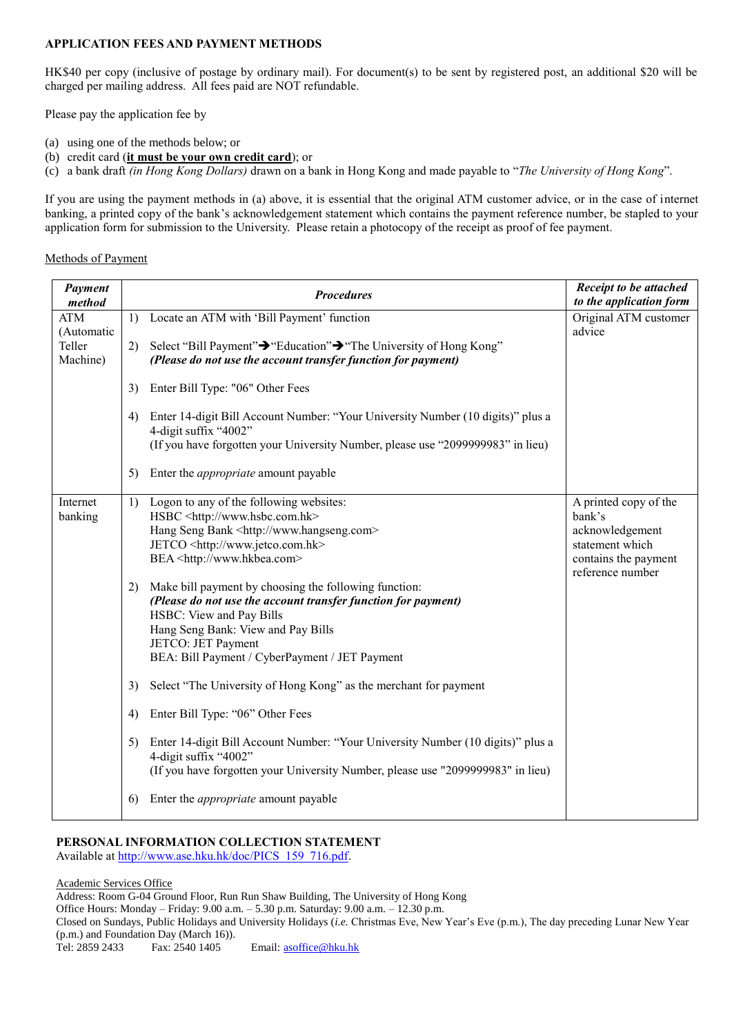## **APPLICATION FEES AND PAYMENT METHODS**

HK\$40 per copy (inclusive of postage by ordinary mail). For document(s) to be sent by registered post, an additional \$20 will be charged per mailing address. All fees paid are NOT refundable.

Please pay the application fee by

- (a) using one of the methods below; or
- (b) credit card (**it must be your own credit card**); or
- (c) a bank draft *(in Hong Kong Dollars)* drawn on a bank in Hong Kong and made payable to "*The University of Hong Kong*".

If you are using the payment methods in (a) above, it is essential that the original ATM customer advice, or in the case of internet banking, a printed copy of the bank's acknowledgement statement which contains the payment reference number, be stapled to your application form for submission to the University. Please retain a photocopy of the receipt as proof of fee payment.

#### Methods of Payment

| Payment<br>method        |    | <b>Procedures</b>                                                                                                                                                                           | <b>Receipt to be attached</b><br>to the application form |
|--------------------------|----|---------------------------------------------------------------------------------------------------------------------------------------------------------------------------------------------|----------------------------------------------------------|
| <b>ATM</b><br>(Automatic | 1) | Locate an ATM with 'Bill Payment' function                                                                                                                                                  | Original ATM customer<br>advice                          |
| Teller<br>Machine)       | 2) | Select "Bill Payment"→ "Education"→ "The University of Hong Kong"<br>(Please do not use the account transfer function for payment)                                                          |                                                          |
|                          | 3) | Enter Bill Type: "06" Other Fees                                                                                                                                                            |                                                          |
|                          | 4) | Enter 14-digit Bill Account Number: "Your University Number (10 digits)" plus a<br>4-digit suffix "4002"<br>(If you have forgotten your University Number, please use "2099999983" in lieu) |                                                          |
|                          | 5) | Enter the <i>appropriate</i> amount payable                                                                                                                                                 |                                                          |
| Internet                 | 1) | Logon to any of the following websites:                                                                                                                                                     | A printed copy of the                                    |
| banking                  |    | HSBC <http: www.hsbc.com.hk=""></http:>                                                                                                                                                     | bank's                                                   |
|                          |    | Hang Seng Bank <http: www.hangseng.com=""></http:>                                                                                                                                          | acknowledgement                                          |
|                          |    | JETCO <http: www.jetco.com.hk=""></http:>                                                                                                                                                   | statement which                                          |
|                          |    | BEA <http: www.hkbea.com=""></http:>                                                                                                                                                        | contains the payment<br>reference number                 |
|                          | 2) | Make bill payment by choosing the following function:                                                                                                                                       |                                                          |
|                          |    | (Please do not use the account transfer function for payment)                                                                                                                               |                                                          |
|                          |    | HSBC: View and Pay Bills                                                                                                                                                                    |                                                          |
|                          |    | Hang Seng Bank: View and Pay Bills                                                                                                                                                          |                                                          |
|                          |    | JETCO: JET Payment                                                                                                                                                                          |                                                          |
|                          |    | BEA: Bill Payment / CyberPayment / JET Payment                                                                                                                                              |                                                          |
|                          | 3) | Select "The University of Hong Kong" as the merchant for payment                                                                                                                            |                                                          |
|                          | 4) | Enter Bill Type: "06" Other Fees                                                                                                                                                            |                                                          |
|                          | 5) | Enter 14-digit Bill Account Number: "Your University Number (10 digits)" plus a<br>4-digit suffix "4002"<br>(If you have forgotten your University Number, please use "2099999983" in lieu) |                                                          |
|                          | 6) | Enter the <i>appropriate</i> amount payable                                                                                                                                                 |                                                          |

#### **PERSONAL INFORMATION COLLECTION STATEMENT**  Available at [http://www.ase.hku.hk/doc/PICS\\_159\\_716.pdf.](http://www.ase.hku.hk/doc/PICS_159_716.pdf)

Academic Services Office

Address: Room G-04 Ground Floor, Run Run Shaw Building, The University of Hong Kong Office Hours: Monday – Friday: 9.00 a.m. – 5.30 p.m. Saturday: 9.00 a.m. – 12.30 p.m. Closed on Sundays, Public Holidays and University Holidays (*i.e.* Christmas Eve, New Year's Eve (p.m.), The day preceding Lunar New Year (p.m.) and Foundation Day (March 16)). Tel: 2859 2433 Fax: 2540 1405 Email[: asoffice@hku.hk](mailto:asoffice@hku.hk)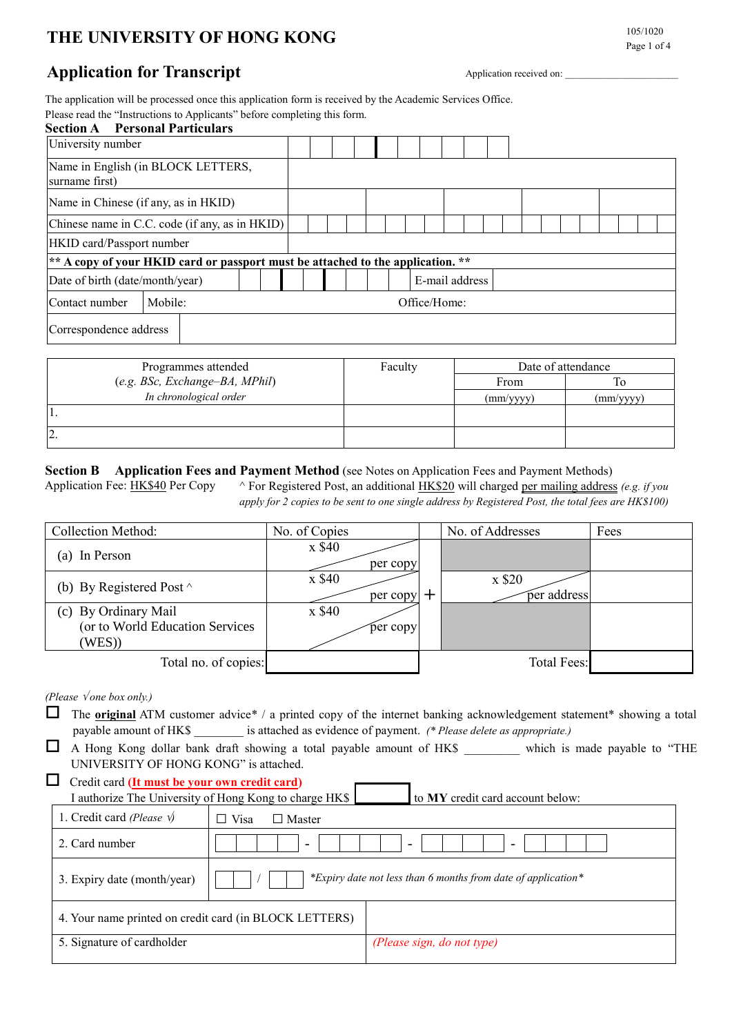# **THE UNIVERSITY OF HONG KONG 105/1020**

# Page 1 of 4

# **Application for Transcript** Application received on:

The application will be processed once this application form is received by the Academic Services Office. Please read the "Instructions to Applicants" before completing this form.

| <b>Section A</b> Personal Particulars          |                                                                               |  |  |  |  |  |  |                |  |  |  |  |  |  |
|------------------------------------------------|-------------------------------------------------------------------------------|--|--|--|--|--|--|----------------|--|--|--|--|--|--|
| University number                              |                                                                               |  |  |  |  |  |  |                |  |  |  |  |  |  |
| surname first)                                 | Name in English (in BLOCK LETTERS,                                            |  |  |  |  |  |  |                |  |  |  |  |  |  |
| Name in Chinese (if any, as in HKID)           |                                                                               |  |  |  |  |  |  |                |  |  |  |  |  |  |
| Chinese name in C.C. code (if any, as in HKID) |                                                                               |  |  |  |  |  |  |                |  |  |  |  |  |  |
| HKID card/Passport number                      |                                                                               |  |  |  |  |  |  |                |  |  |  |  |  |  |
|                                                | $* A copy of your HKID card or passport must be attached to the application.$ |  |  |  |  |  |  |                |  |  |  |  |  |  |
| Date of birth (date/month/year)                |                                                                               |  |  |  |  |  |  | E-mail address |  |  |  |  |  |  |
| Mobile:<br>Contact number<br>Office/Home:      |                                                                               |  |  |  |  |  |  |                |  |  |  |  |  |  |
| Correspondence address                         |                                                                               |  |  |  |  |  |  |                |  |  |  |  |  |  |

| Programmes attended              | Faculty | Date of attendance |                    |  |  |
|----------------------------------|---------|--------------------|--------------------|--|--|
| $(e.g. BSc, Exchange-BA, MPhil)$ |         | From               |                    |  |  |
| In chronological order           |         | $\text{(mm/yyy)}$  | $\text{(mm/vyyy)}$ |  |  |
| П.                               |         |                    |                    |  |  |
| 2.                               |         |                    |                    |  |  |

## **Section B Application Fees and Payment Method** (see Notes on Application Fees and Payment Methods)

Application Fee: <u>HK\$40</u> Per Copy ^ For Registered Post, an additional HK\$20 will charged per mailing address *(e.g. if you apply for 2 copies to be sent to one single address by Registered Post, the total fees are HK\$100)*

| Collection Method:                                               | No. of Copies      |    | No. of Addresses      | Fees |
|------------------------------------------------------------------|--------------------|----|-----------------------|------|
| (a) In Person                                                    | x \$40<br>per copy |    |                       |      |
| (b) By Registered Post $\wedge$                                  | x \$40<br>per copy | ╺┿ | x \$20<br>per address |      |
| (c) By Ordinary Mail<br>(or to World Education Services<br>(WES) | x \$40<br>per copy |    |                       |      |
| Total no. of copies:                                             |                    |    | <b>Total Fees:</b>    |      |

*(Please one box only.)*

 The **original** ATM customer advice\* / a printed copy of the internet banking acknowledgement statement\* showing a total payable amount of HK\$ \_\_\_\_\_\_\_\_ is attached as evidence of payment. *(\* Please delete as appropriate.)*

 A Hong Kong dollar bank draft showing a total payable amount of HK\$ \_\_\_\_\_\_\_\_\_ which is made payable to "THE UNIVERSITY OF HONG KONG" is attached.

| $\Box$ Credit card (It must be your own credit card)   |                                  |
|--------------------------------------------------------|----------------------------------|
| I authorize The University of Hong Kong to charge HK\$ | to MY credit card account below: |

|                               | I additionally the can't crottly of from them, to change three |                                                               |
|-------------------------------|----------------------------------------------------------------|---------------------------------------------------------------|
| 1. Credit card (Please $\psi$ | Visa<br>$\Box$ Master<br>$\overline{\phantom{a}}$              |                                                               |
| 2. Card number                | $\overline{\phantom{0}}$                                       | ۰<br>$\overline{\phantom{a}}$                                 |
| 3. Expiry date (month/year)   |                                                                | *Expiry date not less than 6 months from date of application* |
|                               | 4. Your name printed on credit card (in BLOCK LETTERS)         |                                                               |
| 5. Signature of cardholder    |                                                                | (Please sign, do not type)                                    |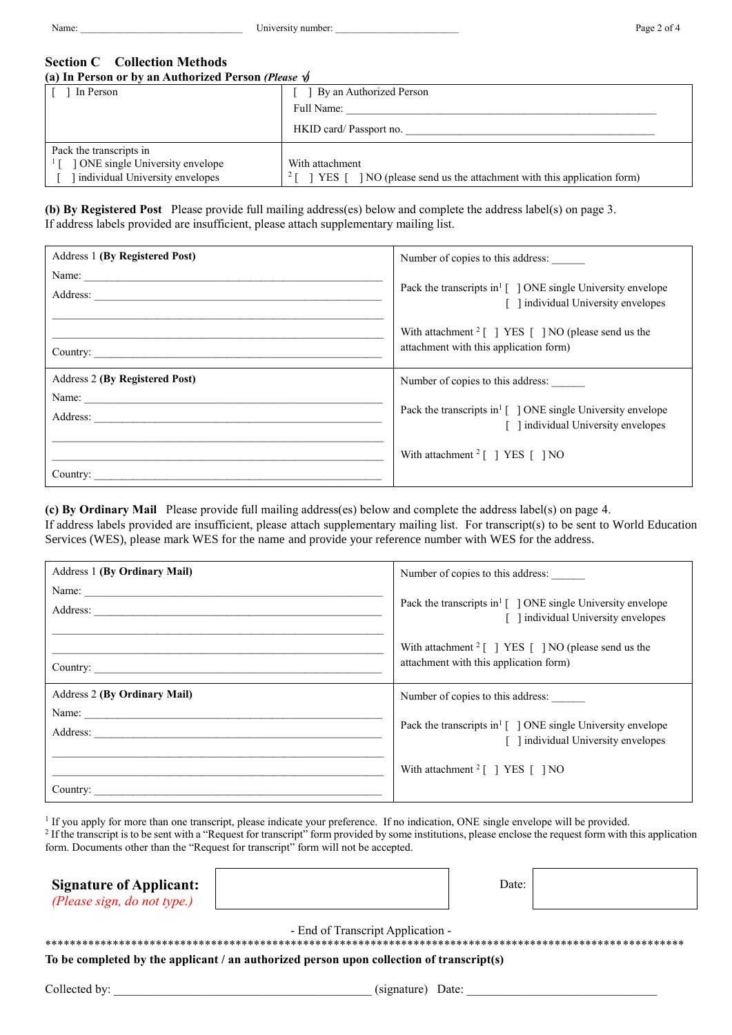Name: \_\_\_\_\_\_\_\_\_\_\_\_\_\_\_\_\_\_\_\_\_\_\_\_\_\_\_\_\_\_\_\_\_ University number: \_\_\_\_\_\_\_\_\_\_\_\_\_\_\_\_\_\_\_\_\_\_\_\_\_ Page 2 of 4

#### **Section C Collection Methods (a) In Person or by an Authorized Person** *(Please )*

| (a) In I closul of by an Authorized I closul (Fieldse V) |                                                                             |  |  |  |  |  |
|----------------------------------------------------------|-----------------------------------------------------------------------------|--|--|--|--|--|
| In Person                                                | By an Authorized Person                                                     |  |  |  |  |  |
|                                                          | Full Name:                                                                  |  |  |  |  |  |
|                                                          | HKID card/ Passport no.                                                     |  |  |  |  |  |
| Pack the transcripts in                                  |                                                                             |  |  |  |  |  |
| ONE single University envelope                           | With attachment                                                             |  |  |  |  |  |
| individual University envelopes                          | NO (please send us the attachment with this application form)<br>YES 1<br>∠ |  |  |  |  |  |

**(b) By Registered Post** Please provide full mailing address(es) below and complete the address label(s) on page 3. If address labels provided are insufficient, please attach supplementary mailing list.

| Address 1 (By Registered Post)        | Number of copies to this address:                                                                                                  |
|---------------------------------------|------------------------------------------------------------------------------------------------------------------------------------|
| Name:                                 | Pack the transcripts in $\lceil \ \rceil$ ONE single University envelope<br>[ ] individual University envelopes                    |
|                                       | With attachment $2 \lceil \cdot \rceil$ YES $\lceil \cdot \rceil$ NO (please send us the<br>attachment with this application form) |
| <b>Address 2 (By Registered Post)</b> | Number of copies to this address:                                                                                                  |
| Name:<br>Address:                     | Pack the transcripts in <sup>1</sup> $\lceil$ 1 ONE single University envelope<br>[ ] individual University envelopes              |
| Country:                              | With attachment $2 \lceil \cdot \rceil$ YES $\lceil \cdot \rceil$ NO                                                               |

**(c) By Ordinary Mail** Please provide full mailing address(es) below and complete the address label(s) on page 4. If address labels provided are insufficient, please attach supplementary mailing list. For transcript(s) to be sent to World Education Services (WES), please mark WES for the name and provide your reference number with WES for the address.

| Address 1 (By Ordinary Mail)        | Number of copies to this address:                                                                                          |
|-------------------------------------|----------------------------------------------------------------------------------------------------------------------------|
|                                     | Pack the transcripts in <sup>1</sup> $\lceil$ 1 ONE single University envelope<br>[ ] individual University envelopes      |
| Country:                            | With attachment $2 \lceil \ \rceil$ YES $\lceil \ \rceil$ NO (please send us the<br>attachment with this application form) |
| <b>Address 2 (By Ordinary Mail)</b> | Number of copies to this address:                                                                                          |
| Name:                               | Pack the transcripts in <sup>1</sup> $\lceil$ 1 ONE single University envelope<br>[ ] individual University envelopes      |
| Country:                            | With attachment $2 \lceil \cdot \rceil$ YES $\lceil \cdot \rceil$ NO                                                       |

<sup>1</sup> If you apply for more than one transcript, please indicate your preference. If no indication, ONE single envelope will be provided.

<sup>2</sup> If the transcript is to be sent with a "Request for transcript" form provided by some institutions, please enclose the request form with this application form. Documents other than the "Request for transcript" form will not be accepted.

| <b>Signature of Applicant:</b> |
|--------------------------------|
| (Please sign, do not type.)    |

Date:

- End of Transcript Application -

\*\*\*\*\*\*\*\*\*\*\*\*\*\*\*\*\*\*\*\*\*\*\*\*\*\*\*\*\*\*\*\*\*\*\*\*\*\*\*\*\*\*\*\*\*\*\*\*\*\*\*\*\*\*\*\*\*\*\*\*\*\*\*\*\*\*\*\*\*\*\*\*\*\*\*\*\*\*\*\*\*\*\*\*\*\*\*\*\*\*\*\*\*\*\*\*\*\*\*\*\*\*\*\*

**To be completed by the applicant / an authorized person upon collection of transcript(s)**

Collected by: \_\_\_\_\_\_\_\_\_\_\_\_\_\_\_\_\_\_\_\_\_\_\_\_\_\_\_\_\_\_\_\_\_\_\_\_\_\_\_\_\_\_ (signature) Date: \_\_\_\_\_\_\_\_\_\_\_\_\_\_\_\_\_\_\_\_\_\_\_\_\_\_\_\_\_\_\_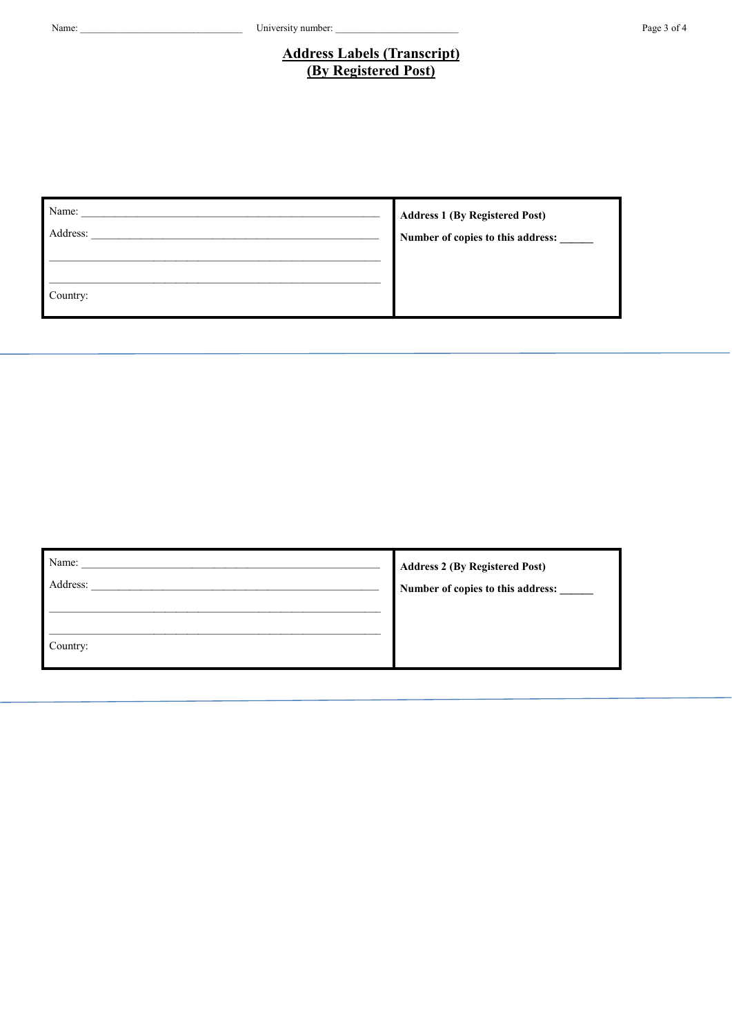#### Page 3 of 4

# **Address Labels (Transcript)** (By Registered Post)

| Name:    | <b>Address 1 (By Registered Post)</b> |
|----------|---------------------------------------|
| Address: | Number of copies to this address:     |
|          |                                       |
| Country: |                                       |

| Name:    | <b>Address 2 (By Registered Post)</b> |
|----------|---------------------------------------|
| Address: | Number of copies to this address:     |
| Country: |                                       |